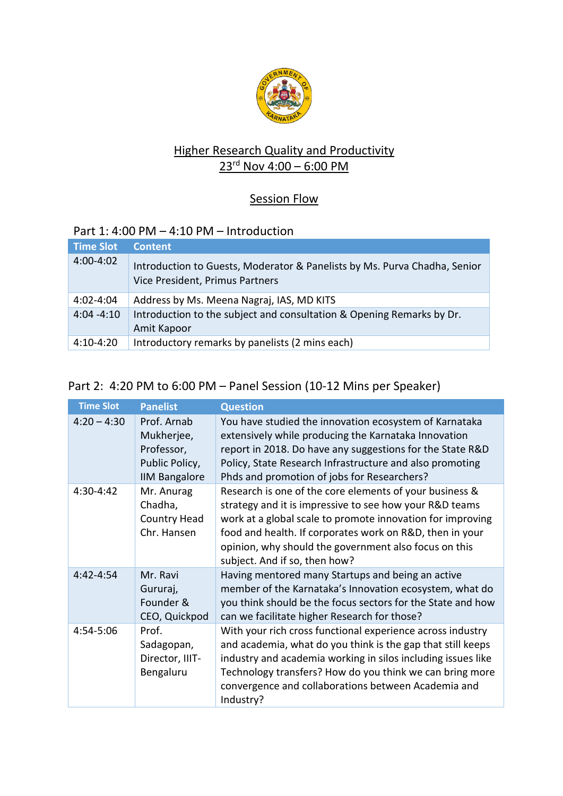

## Higher Research Quality and Productivity 23 rd Nov 4:00 – 6:00 PM

## **Session Flow**

## Part 1: 4:00 PM – 4:10 PM – Introduction

| <b>Time Slot</b> | <b>Content</b>                                                                                               |
|------------------|--------------------------------------------------------------------------------------------------------------|
| $4:00 - 4:02$    | Introduction to Guests, Moderator & Panelists by Ms. Purva Chadha, Senior<br>Vice President, Primus Partners |
| 4:02-4:04        | Address by Ms. Meena Nagraj, IAS, MD KITS                                                                    |
| $4:04 - 4:10$    | Introduction to the subject and consultation & Opening Remarks by Dr.<br>Amit Kapoor                         |
| $4:10 - 4:20$    | Introductory remarks by panelists (2 mins each)                                                              |

## Part 2: 4:20 PM to 6:00 PM – Panel Session (10-12 Mins per Speaker)

| <b>Time Slot</b> | <b>Panelist</b>                                                                   | <b>Question</b>                                                                                                                                                                                                                                                                                                                        |
|------------------|-----------------------------------------------------------------------------------|----------------------------------------------------------------------------------------------------------------------------------------------------------------------------------------------------------------------------------------------------------------------------------------------------------------------------------------|
| $4:20 - 4:30$    | Prof. Arnab<br>Mukherjee,<br>Professor,<br>Public Policy,<br><b>IIM Bangalore</b> | You have studied the innovation ecosystem of Karnataka<br>extensively while producing the Karnataka Innovation<br>report in 2018. Do have any suggestions for the State R&D<br>Policy, State Research Infrastructure and also promoting<br>Phds and promotion of jobs for Researchers?                                                 |
| 4:30-4:42        | Mr. Anurag<br>Chadha,<br>Country Head<br>Chr. Hansen                              | Research is one of the core elements of your business &<br>strategy and it is impressive to see how your R&D teams<br>work at a global scale to promote innovation for improving<br>food and health. If corporates work on R&D, then in your<br>opinion, why should the government also focus on this<br>subject. And if so, then how? |
| 4:42-4:54        | Mr. Ravi<br>Gururaj,<br>Founder &<br>CEO, Quickpod                                | Having mentored many Startups and being an active<br>member of the Karnataka's Innovation ecosystem, what do<br>you think should be the focus sectors for the State and how<br>can we facilitate higher Research for those?                                                                                                            |
| 4:54-5:06        | Prof.<br>Sadagopan,<br>Director, IIIT-<br>Bengaluru                               | With your rich cross functional experience across industry<br>and academia, what do you think is the gap that still keeps<br>industry and academia working in silos including issues like<br>Technology transfers? How do you think we can bring more<br>convergence and collaborations between Academia and<br>Industry?              |